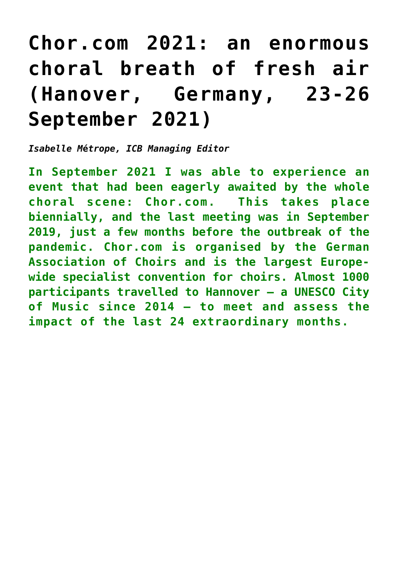## **[Chor.com 2021: an enormous](http://icb.ifcm.net/ru_RU/chor-com-2021-an-enormous-choral-breath-of-fresh-air-hanover-germany-23-26-september-2021/) [choral breath of fresh air](http://icb.ifcm.net/ru_RU/chor-com-2021-an-enormous-choral-breath-of-fresh-air-hanover-germany-23-26-september-2021/) [\(Hanover, Germany, 23-26](http://icb.ifcm.net/ru_RU/chor-com-2021-an-enormous-choral-breath-of-fresh-air-hanover-germany-23-26-september-2021/) [September 2021\)](http://icb.ifcm.net/ru_RU/chor-com-2021-an-enormous-choral-breath-of-fresh-air-hanover-germany-23-26-september-2021/)**

*Isabelle M***é***trope, ICB Managing Editor*

**In September 2021 I was able to experience an event that had been eagerly awaited by the whole choral scene: Chor.com. This takes place biennially, and the last meeting was in September 2019, just a few months before the outbreak of the pandemic. Chor.com is organised by the German Association of Choirs and is the largest Europewide specialist convention for choirs. Almost 1000 participants travelled to Hannover – a UNESCO City of Music since 2014 – to meet and assess the impact of the last 24 extraordinary months.**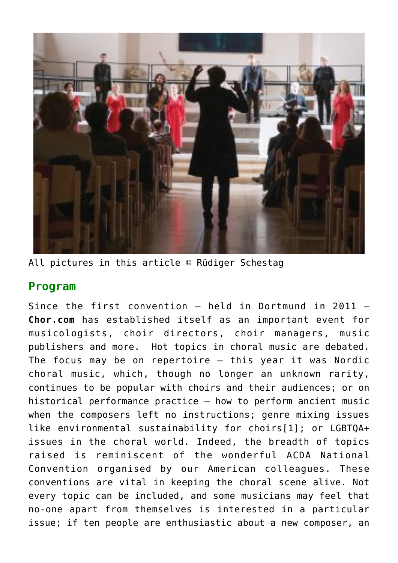

All pictures in this article © Rüdiger Schestag

## **Program**

Since the first convention – held in Dortmund in 2011 – **Chor.com** has established itself as an important event for musicologists, choir directors, choir managers, music publishers and more. Hot topics in choral music are debated. The focus may be on repertoire – this year it was Nordic choral music, which, though no longer an unknown rarity, continues to be popular with choirs and their audiences; or on historical performance practice – how to perform ancient music when the composers left no instructions; genre mixing issues like environmental sustainability for choir[s\[1\];](http://icb.ifcm.net/applewebdata://1FA542B8-F332-476E-8D9D-E35EB0F515DC#_ftn1) or LGBTQA+ issues in the choral world. Indeed, the breadth of topics raised is reminiscent of the wonderful ACDA National Convention organised by our American colleagues. These conventions are vital in keeping the choral scene alive. Not every topic can be included, and some musicians may feel that no-one apart from themselves is interested in a particular issue; if ten people are enthusiastic about a new composer, an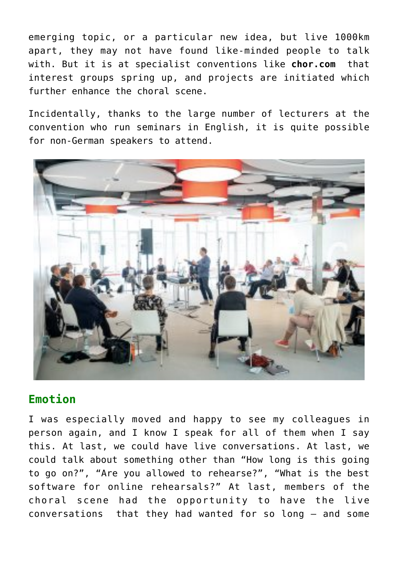emerging topic, or a particular new idea, but live 1000km apart, they may not have found like-minded people to talk with. But it is at specialist conventions like **chor.com** that interest groups spring up, and projects are initiated which further enhance the choral scene.

Incidentally, thanks to the large number of lecturers at the convention who run seminars in English, it is quite possible for non-German speakers to attend.



## **Emotion**

I was especially moved and happy to see my colleagues in person again, and I know I speak for all of them when I say this. At last, we could have live conversations. At last, we could talk about something other than "How long is this going to go on?", "Are you allowed to rehearse?", "What is the best software for online rehearsals?" At last, members of the choral scene had the opportunity to have the live conversations that they had wanted for so long – and some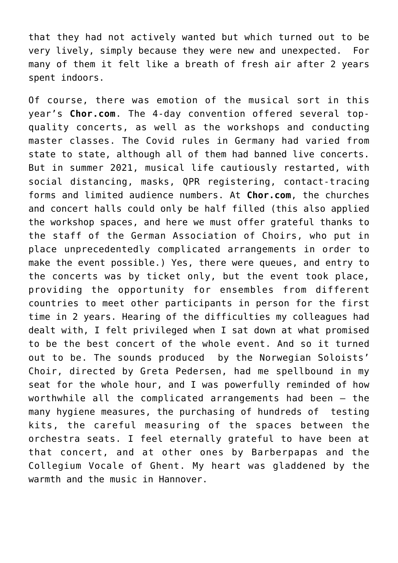that they had not actively wanted but which turned out to be very lively, simply because they were new and unexpected. For many of them it felt like a breath of fresh air after 2 years spent indoors.

Of course, there was emotion of the musical sort in this year's **Chor.com**. The 4-day convention offered several topquality concerts, as well as the workshops and conducting master classes. The Covid rules in Germany had varied from state to state, although all of them had banned live concerts. But in summer 2021, musical life cautiously restarted, with social distancing, masks, QPR registering, contact-tracing forms and limited audience numbers. At **Chor.com**, the churches and concert halls could only be half filled (this also applied the workshop spaces, and here we must offer grateful thanks to the staff of the German Association of Choirs, who put in place unprecedentedly complicated arrangements in order to make the event possible.) Yes, there were queues, and entry to the concerts was by ticket only, but the event took place, providing the opportunity for ensembles from different countries to meet other participants in person for the first time in 2 years. Hearing of the difficulties my colleagues had dealt with, I felt privileged when I sat down at what promised to be the best concert of the whole event. And so it turned out to be. The sounds produced by the Norwegian Soloists' Choir, directed by Greta Pedersen, had me spellbound in my seat for the whole hour, and I was powerfully reminded of how worthwhile all the complicated arrangements had been – the many hygiene measures, the purchasing of hundreds of testing kits, the careful measuring of the spaces between the orchestra seats. I feel eternally grateful to have been at that concert, and at other ones by Barberpapas and the Collegium Vocale of Ghent. My heart was gladdened by the warmth and the music in Hannover.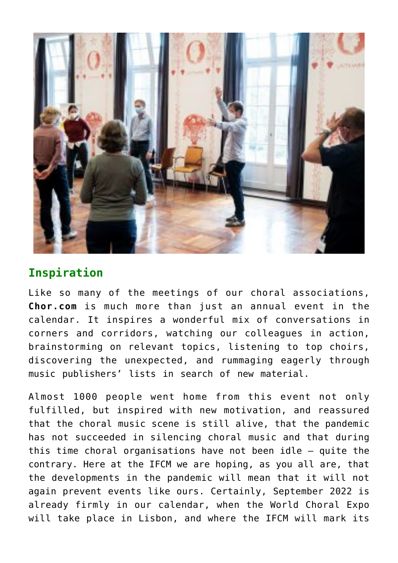

## **Inspiration**

Like so many of the meetings of our choral associations, **Chor.com** is much more than just an annual event in the calendar. It inspires a wonderful mix of conversations in corners and corridors, watching our colleagues in action, brainstorming on relevant topics, listening to top choirs, discovering the unexpected, and rummaging eagerly through music publishers' lists in search of new material.

Almost 1000 people went home from this event not only fulfilled, but inspired with new motivation, and reassured that the choral music scene is still alive, that the pandemic has not succeeded in silencing choral music and that during this time choral organisations have not been idle – quite the contrary. Here at the IFCM we are hoping, as you all are, that the developments in the pandemic will mean that it will not again prevent events like ours. Certainly, September 2022 is already firmly in our calendar, when the World Choral Expo will take place in Lisbon, and where the IFCM will mark its